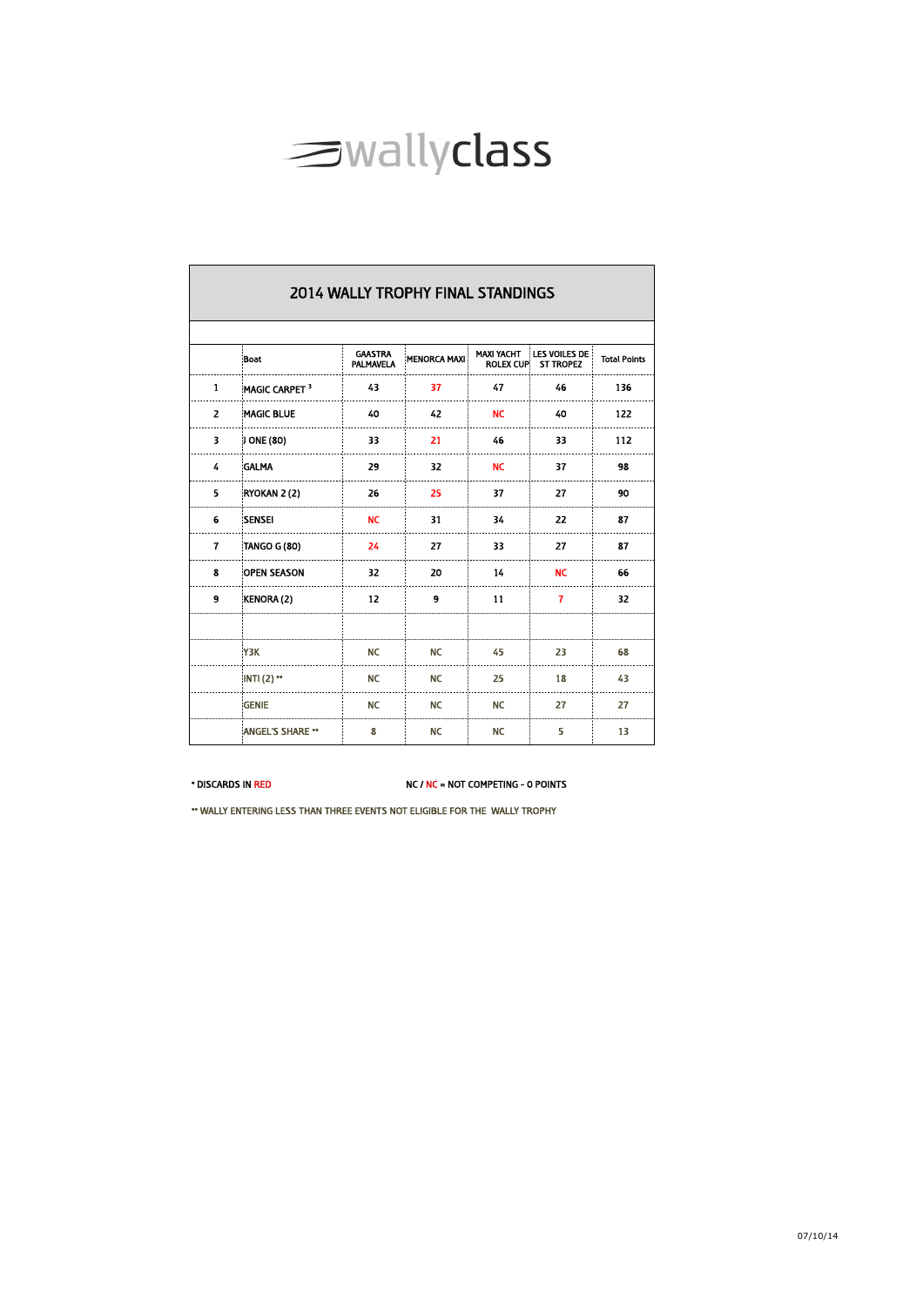

|                | <b>2014 WALLY TROPHY FINAL STANDINGS</b> |                                    |                     |                                       |                                          |                     |  |  |  |  |  |
|----------------|------------------------------------------|------------------------------------|---------------------|---------------------------------------|------------------------------------------|---------------------|--|--|--|--|--|
|                | Boat                                     | <b>GAASTRA</b><br><b>PALMAVELA</b> | <b>MENORCA MAXI</b> | <b>MAXI YACHT</b><br><b>ROLEX CUP</b> | <b>LES VOILES DE</b><br><b>ST TROPEZ</b> | <b>Total Points</b> |  |  |  |  |  |
| 1              | MAGIC CARPET <sup>3</sup>                | 43                                 | 37                  | 47                                    | 46                                       | 136                 |  |  |  |  |  |
| $\overline{z}$ | <b>MAGIC BLUE</b>                        | 40                                 | 42                  | <b>NC</b>                             | 40                                       | 122                 |  |  |  |  |  |
| 3              | J ONE (80)                               | 33                                 | 21                  | 46                                    | 33                                       | 112                 |  |  |  |  |  |
| 4              | <b>GALMA</b>                             | 29                                 | 32                  | <b>NC</b>                             | 37                                       | 98                  |  |  |  |  |  |
| 5              | RYOKAN 2 (2)                             | 26                                 | 25                  | 37                                    | 27                                       | 90                  |  |  |  |  |  |
| 6              | <b>SENSEI</b>                            | <b>NC</b>                          | 31                  | 34                                    | 22                                       | 87                  |  |  |  |  |  |
| 7              | TANGO G (80)                             | 24                                 | 27                  | 33                                    | 27                                       | 87                  |  |  |  |  |  |
| 8              | <b>OPEN SEASON</b>                       | 32                                 | 20                  | 14                                    | <b>NC</b>                                | 66                  |  |  |  |  |  |
| 9              | KENORA (2)                               | 12                                 | 9                   | 11                                    | 7                                        | 32                  |  |  |  |  |  |
|                |                                          |                                    |                     |                                       |                                          |                     |  |  |  |  |  |
|                | <b>Y3K</b>                               | <b>NC</b>                          | <b>NC</b>           | 45                                    | 23                                       | 68                  |  |  |  |  |  |
|                | $INTI (2)$ **                            | <b>NC</b>                          | <b>NC</b>           | 25                                    | 18                                       | 43                  |  |  |  |  |  |
|                | <b>GENIE</b>                             | <b>NC</b>                          | <b>NC</b>           | <b>NC</b>                             | 27                                       | 27                  |  |  |  |  |  |
|                | <b>ANGEL'S SHARE **</b>                  | 8                                  | <b>NC</b>           | <b>NC</b>                             | 5                                        | 13                  |  |  |  |  |  |

\* DISCARDS IN RED NC / NC = NOT COMPETING - 0 POINTS

\*\* WALLY ENTERING LESS THAN THREE EVENTS NOT ELIGIBLE FOR THE WALLY TROPHY